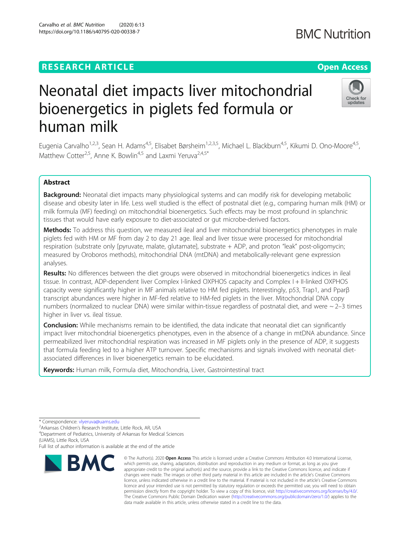## **RESEARCH ARTICLE Example 2014 12:30 The Contract of Contract ACCESS**

# Neonatal diet impacts liver mitochondrial bioenergetics in piglets fed formula or human milk

Eugenia Carvalho<sup>1,2,3</sup>, Sean H. Adams<sup>4,5</sup>, Elisabet Børsheim<sup>1,2,3,5</sup>, Michael L. Blackburn<sup>4,5</sup>, Kikumi D. Ono-Moore<sup>4,5</sup>, Matthew Cotter<sup>2,5</sup>, Anne K. Bowlin<sup>4,5</sup> and Laxmi Yeruva<sup>2,4,5\*</sup>

## Abstract

Background: Neonatal diet impacts many physiological systems and can modify risk for developing metabolic disease and obesity later in life. Less well studied is the effect of postnatal diet (e.g., comparing human milk (HM) or milk formula (MF) feeding) on mitochondrial bioenergetics. Such effects may be most profound in splanchnic tissues that would have early exposure to diet-associated or gut microbe-derived factors.

Methods: To address this question, we measured ileal and liver mitochondrial bioenergetics phenotypes in male piglets fed with HM or MF from day 2 to day 21 age. Ileal and liver tissue were processed for mitochondrial respiration (substrate only [pyruvate, malate, glutamate], substrate + ADP, and proton "leak" post-oligomycin; measured by Oroboros methods), mitochondrial DNA (mtDNA) and metabolically-relevant gene expression analyses.

Results: No differences between the diet groups were observed in mitochondrial bioenergetics indices in ileal tissue. In contrast, ADP-dependent liver Complex I-linked OXPHOS capacity and Complex I + II-linked OXPHOS capacity were significantly higher in MF animals relative to HM fed piglets. Interestingly, p53, Trap1, and Pparβ transcript abundances were higher in MF-fed relative to HM-fed piglets in the liver. Mitochondrial DNA copy numbers (normalized to nuclear DNA) were similar within-tissue regardless of postnatal diet, and were  $\sim$  2–3 times higher in liver vs. ileal tissue.

**Conclusion:** While mechanisms remain to be identified, the data indicate that neonatal diet can significantly impact liver mitochondrial bioenergetics phenotypes, even in the absence of a change in mtDNA abundance. Since permeabilized liver mitochondrial respiration was increased in MF piglets only in the presence of ADP, it suggests that formula feeding led to a higher ATP turnover. Specific mechanisms and signals involved with neonatal dietassociated differences in liver bioenergetics remain to be elucidated.

Keywords: Human milk, Formula diet, Mitochondria, Liver, Gastrointestinal tract

**BMC** 

<sup>4</sup>Department of Pediatrics, University of Arkansas for Medical Sciences (UAMS), Little Rock, USA

Full list of author information is available at the end of the article





undates



© The Author(s), 2020 **Open Access** This article is licensed under a Creative Commons Attribution 4.0 International License,

<sup>\*</sup> Correspondence: [vlyeruva@uams.edu](mailto:vlyeruva@uams.edu) <sup>2</sup>

<sup>&</sup>lt;sup>2</sup> Arkansas Children's Research Institute, Little Rock, AR, USA

**BMC Nutrition** 

which permits use, sharing, adaptation, distribution and reproduction in any medium or format, as long as you give appropriate credit to the original author(s) and the source, provide a link to the Creative Commons licence, and indicate if changes were made. The images or other third party material in this article are included in the article's Creative Commons licence, unless indicated otherwise in a credit line to the material. If material is not included in the article's Creative Commons licence and your intended use is not permitted by statutory regulation or exceeds the permitted use, you will need to obtain permission directly from the copyright holder. To view a copy of this licence, visit [http://creativecommons.org/licenses/by/4.0/.](http://creativecommons.org/licenses/by/4.0/) The Creative Commons Public Domain Dedication waiver [\(http://creativecommons.org/publicdomain/zero/1.0/](http://creativecommons.org/publicdomain/zero/1.0/)) applies to the data made available in this article, unless otherwise stated in a credit line to the data.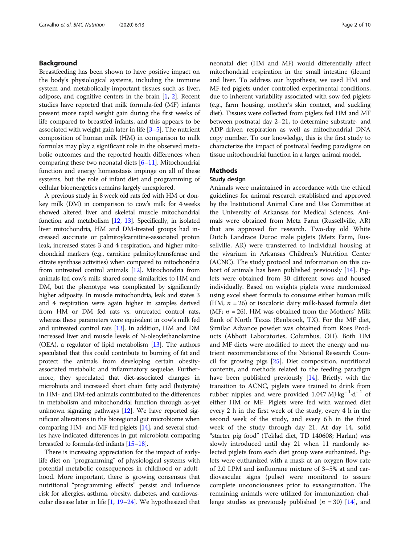## Background

Breastfeeding has been shown to have positive impact on the body's physiological systems, including the immune system and metabolically-important tissues such as liver, adipose, and cognitive centers in the brain [[1,](#page-7-0) [2](#page-7-0)]. Recent studies have reported that milk formula-fed (MF) infants present more rapid weight gain during the first weeks of life compared to breastfed infants, and this appears to be associated with weight gain later in life [\[3](#page-7-0)–[5\]](#page-8-0). The nutrient composition of human milk (HM) in comparison to milk formulas may play a significant role in the observed metabolic outcomes and the reported health differences when comparing these two neonatal diets [[6](#page-8-0)–[11](#page-8-0)]. Mitochondrial function and energy homeostasis impinge on all of these systems, but the role of infant diet and programming of cellular bioenergetics remains largely unexplored.

A previous study in 8 week old rats fed with HM or donkey milk (DM) in comparison to cow's milk for 4 weeks showed altered liver and skeletal muscle mitochondrial function and metabolism [\[12,](#page-8-0) [13](#page-8-0)]. Specifically, in isolated liver mitochondria, HM and DM-treated groups had increased succinate or palmitoylcarnitine-associated proton leak, increased states 3 and 4 respiration, and higher mitochondrial markers (e.g., carnitine palmitoyltransferase and citrate synthase activities) when compared to mitochondria from untreated control animals [[12\]](#page-8-0). Mitochondria from animals fed cow's milk shared some similarities to HM and DM, but the phenotype was complicated by significantly higher adiposity. In muscle mitochondria, leak and states 3 and 4 respiration were again higher in samples derived from HM or DM fed rats vs. untreated control rats, whereas these parameters were equivalent in cow's milk fed and untreated control rats [[13](#page-8-0)]. In addition, HM and DM increased liver and muscle levels of N-oleoylethanolamine (OEA), a regulator of lipid metabolism [\[13\]](#page-8-0). The authors speculated that this could contribute to burning of fat and protect the animals from developing certain obesityassociated metabolic and inflammatory sequelae. Furthermore, they speculated that diet-associated changes in microbiota and increased short chain fatty acid (butyrate) in HM- and DM-fed animals contributed to the differences in metabolism and mitochondrial function through as-yet unknown signaling pathways [\[12](#page-8-0)]. We have reported significant alterations in the bioregional gut microbiome when comparing HM- and MF-fed piglets [[14](#page-8-0)], and several studies have indicated differences in gut microbiota comparing breastfed to formula-fed infants [\[15](#page-8-0)–[18](#page-8-0)].

There is increasing appreciation for the impact of earlylife diet on "programming" of physiological systems with potential metabolic consequences in childhood or adulthood. More important, there is growing consensus that nutritional "programming effects" persist and influence risk for allergies, asthma, obesity, diabetes, and cardiovascular disease later in life [[1,](#page-7-0) [19](#page-8-0)–[24\]](#page-8-0). We hypothesized that neonatal diet (HM and MF) would differentially affect mitochondrial respiration in the small intestine (ileum) and liver. To address our hypothesis, we used HM and MF-fed piglets under controlled experimental conditions, due to inherent variability associated with sow-fed piglets (e.g., farm housing, mother's skin contact, and suckling diet). Tissues were collected from piglets fed HM and MF between postnatal day 2–21, to determine substrate- and ADP-driven respiration as well as mitochondrial DNA copy number. To our knowledge, this is the first study to characterize the impact of postnatal feeding paradigms on tissue mitochondrial function in a larger animal model.

## Methods

#### Study design

Animals were maintained in accordance with the ethical guidelines for animal research established and approved by the Institutional Animal Care and Use Committee at the University of Arkansas for Medical Sciences. Animals were obtained from Metz Farm (Russellville, AR) that are approved for research. Two-day old White Dutch Landrace Duroc male piglets (Metz Farm, Russellville, AR) were transferred to individual housing at the vivarium in Arkansas Children's Nutrition Center (ACNC). The study protocol and information on this cohort of animals has been published previously [\[14](#page-8-0)]. Piglets were obtained from 30 different sows and housed individually. Based on weights piglets were randomized using excel sheet formula to consume either human milk (HM,  $n = 26$ ) or isocaloric dairy milk-based formula diet (MF;  $n = 26$ ). HM was obtained from the Mothers' Milk Bank of North Texas (Benbrook, TX). For the MF diet, Similac Advance powder was obtained from Ross Products (Abbott Laboratories, Columbus, OH). Both HM and MF diets were modified to meet the energy and nutrient recommendations of the National Research Council for growing pigs [\[25](#page-8-0)]. Diet composition, nutritional contents, and methods related to the feeding paradigm have been published previously [\[14](#page-8-0)]. Briefly, with the transition to ACNC, piglets were trained to drink from rubber nipples and were provided 1.047 MJ·kg<sup>-1</sup>·d<sup>-1</sup> of either HM or MF. Piglets were fed with warmed diet every 2 h in the first week of the study, every 4 h in the second week of the study, and every 6 h in the third week of the study through day 21. At day 14, solid "starter pig food" (Teklad diet, TD 140608; Harlan) was slowly introduced until day 21 when 11 randomly selected piglets from each diet group were euthanized. Piglets were euthanized with a mask at an oxygen flow rate of 2.0 LPM and isofluorane mixture of 3–5% at and cardiovascular signs (pulse) were monitored to assure complete unconciousnees prior to exsanguination. The remaining animals were utilized for immunization challenge studies as previously published ( $n = 30$ ) [\[14](#page-8-0)], and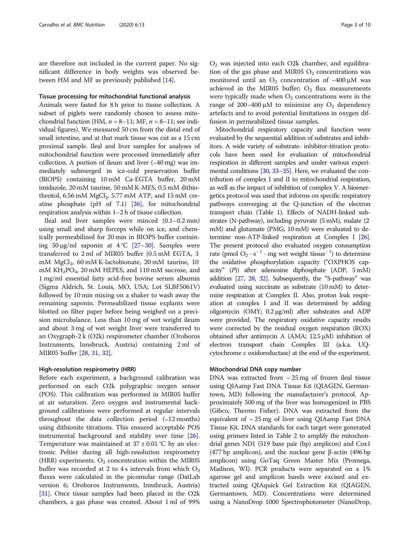are therefore not included in the current paper. No significant difference in body weights was observed between HM and MF as previously published [[14\]](#page-8-0).

## Tissue processing for mitochondrial functional analysis

Animals were fasted for 8 h prior to tissue collection. A subset of piglets were randomly chosen to assess mitochondrial function (HM,  $n = 8-11$ ; MF,  $n = 8-11$ ; see individual figures). We measured 50 cm from the distal end of small intestine, and at that mark tissue was cut as a 15 cm proximal sample. Ileal and liver samples for analyses of mitochondrial function were processed immediately after collection. A portion of ileum and liver (∼40 mg) was immediately submerged in ice-cold preservation buffer (BIOPS) containing 10 mM Ca-EGTA buffer, 20 mM imidazole, 20 mM taurine, 50 mM K-MES, 0.5 mM dithiothreitol,  $6.56$  mM MgCl<sub>2</sub>,  $5.77$  mM ATP, and  $15$  mM creatine phosphate (pH of 7.1) [[26](#page-8-0)], for mitochondrial respiration analysis within 1–2 h of tissue collection.

Ileal and liver samples were minced (0.1–0.2 mm) using small and sharp forceps while on ice, and chemically permeabilized for 20 min in BIOPS buffer containing 50 μg/ml saponin at  $4^{\circ}C$  [[27](#page-8-0)–[30](#page-8-0)]. Samples were transferred to 2 ml of MIR05 buffer (0.5 mM EGTA, 3 mM MgCl<sub>2</sub>, 60 mM K-lactobionate, 20 mM taurine, 10 mM KH<sub>2</sub>PO<sub>4</sub>, 20 mM HEPES, and 110 mM sucrose, and 1 mg/ml essential fatty acid-free bovine serum albumin (Sigma Aldrich, St. Louis, MO, USA; Lot SLBF5061V) followed by 10 min mixing on a shaker to wash away the remaining saponin. Permeabilized tissue explants were blotted on filter paper before being weighed on a precision microbalance. Less than 10 mg of wet weight ileum and about 3 mg of wet weight liver were transferred to an Oxygraph-2 k (O2k) respirometer chamber (Oroboros Instruments, Innsbruck, Austria) containing 2 ml of MIR05 buffer [\[28](#page-8-0), [31,](#page-8-0) [32\]](#page-8-0).

#### High-resolution respirometry (HRR)

Before each experiment, a background calibration was performed on each O2k polygraphic oxygen sensor (POS). This calibration was performed in MIR05 buffer at air saturation. Zero oxygen and instrumental background calibrations were performed at regular intervals throughout the data collection period (∼12 months) using dithionite titrations. This ensured acceptable POS instrumental background and stability over time [\[26](#page-8-0)]. Temperature was maintained at  $37 \pm 0.01$  °C by an electronic Peltier during all high-resolution respirometry (HRR) experiments.  $O_2$  concentration within the MIR05 buffer was recorded at 2 to 4 s intervals from which  $O_2$ fluxes were calculated in the picomolar range (DatLab version 6; Oroboros Instruments, Innsbruck, Austria) [[31\]](#page-8-0). Once tissue samples had been placed in the O2k chambers, a gas phase was created. About 1 ml of 99%

 $O<sub>2</sub>$  was injected into each O2k chamber, and equilibration of the gas phase and MIR05  $O_2$  concentrations was monitored until an O<sub>2</sub> concentration of ~400 μM was achieved in the MIR05 buffer;  $O_2$  flux measurements were typically made when  $O_2$  concentrations were in the range of 200–400 μM to minimize any  $O_2$  dependency artefacts and to avoid potential limitations in oxygen diffusion in permeabilized tissue samples.

Mitochondrial respiratory capacity and function were evaluated by the sequential addition of substrates and inhibitors. A wide variety of substrate- inhibitor-titration protocols have been used for evaluation of mitochondrial respiration in different samples and under various experi-mental conditions [\[30,](#page-8-0) [33](#page-8-0)–[35](#page-8-0)]. Here, we evaluated the contribution of complex I and II to mitochondrial respiration, as well as the impact of inhibition of complex V. A bioenergetics protocol was used that informs on specific respiratory pathways converging at the Q-junction of the electron transport chain (Table [1\)](#page-3-0). Effects of NADH-linked substrates (N-pathway), including pyruvate (5 mM), malate (2 mM) and glutamate (PMG, 10 mM) were evaluated to determine non-ATP-linked respiration at Complex I [\[26](#page-8-0)]. The present protocol also evaluated oxygen consumption rate (pmol O<sub>2</sub> · s<sup>-1</sup> · mg wet weight tissue<sup>-1</sup>) to determine the oxidative phosphorylation capacity ("OXPHOS capacity" (P)) after adenosine diphosphate (ADP, 5 mM) addition [[27,](#page-8-0) [28](#page-8-0), [32](#page-8-0)]. Subsequently, the "S-pathway" was evaluated using succinate as substrate (10 mM) to determine respiration at Complex II. Also, proton leak respiration at complex I and II was determined by adding oligomycin (OMY; 0.2 μg/ml) after substrates and ADP were provided. The respiratory oxidative capacity results were corrected by the residual oxygen respiration (ROX) obtained after antimycin A (AMA;  $12.5 \mu M$ ) inhibition of electron transport chain Complex III (a.k.a. UQcytochrome c oxidoreductase) at the end of the experiment.

### Mitochondrial DNA copy number

DNA was extracted from  $\sim$  25 mg of frozen ileal tissue using QIAamp Fast DNA Tissue Kit (QIAGEN, Germantown, MD) following the manufacturer's protocol. Approximately 500 mg of the liver was homogenized in PBS (Gibco, Thermo Fisher). DNA was extracted from the equivalent of  $\sim$  25 mg of liver using QIAamp Fast DNA Tissue Kit. DNA standards for each target were generated using primers listed in Table [2](#page-3-0) to amplify the mitochondrial genes ND1 (519 base pair (bp) amplicon) and Cox1 (477 bp amplicon), and the nuclear gene β-actin (496 bp amplicon) using GoTaq Green Master Mix (Promega, Madison, WI). PCR products were separated on a 1% agarose gel and amplicon bands were excised and extracted using QIAquick Gel Extraction Kit (QIAGEN, Germantown, MD). Concentrations were determined using a NanoDrop 1000 Spectrophotometer (NanoDrop,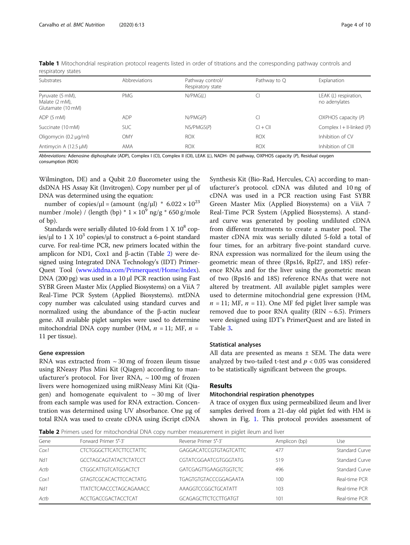| Substrates                                              | Abbreviations | Pathway control/<br>Respiratory state | Pathway to Q | Explanation                            |
|---------------------------------------------------------|---------------|---------------------------------------|--------------|----------------------------------------|
| Pyruvate (5 mM),<br>Malate (2 mM),<br>Glutamate (10 mM) | <b>PMG</b>    | N/PMG(L)                              |              | LEAK (L) respiration,<br>no adenylates |
| ADP (5 mM)                                              | <b>ADP</b>    | N/PMG(P)                              | CI           | $OXPHOS$ capacity $(P)$                |
| Succinate (10 mM)                                       | <b>SUC</b>    | NS/PMGS(P)                            | $Cl + Cl$    | Complex $I + II$ -linked (P)           |
| Oligomycin (0.2 µg/ml)                                  | OMY           | <b>ROX</b>                            | <b>ROX</b>   | Inhibition of CV                       |
| Antimycin A (12.5 µM)                                   | AMA           | <b>ROX</b>                            | <b>ROX</b>   | Inhibition of CIII                     |

<span id="page-3-0"></span>Table 1 Mitochondrial respiration protocol reagents listed in order of titrations and the corresponding pathway controls and respiratory states

Abbreviations: Adenosine diphosphate (ADP), Complex I (CI), Complex II (CII), LEAK (L), NADH- (N) pathway, OXPHOS capacity (P), Residual oxygen consumption (ROX)

Wilmington, DE) and a Qubit 2.0 fluorometer using the dsDNA HS Assay Kit (Invitrogen). Copy number per μl of DNA was determined using the equation:

number of copies/ $\mu$ l = (amount (ng/ $\mu$ l) \* 6.022 × 10<sup>23</sup> number /mole) / (length (bp)  $* 1 \times 10^9$  ng/g  $* 650$  g/mole of bp).

Standards were serially diluted 10-fold from  $1 \text{ X } 10^8$  copies/μl to 1 X  $10^3$  copies/μl to construct a 6-point standard curve. For real-time PCR, new primers located within the amplicon for ND1, Cox1 and β-actin (Table 2) were designed using Integrated DNA Technology's (IDT) Primer-Quest Tool [\(www.idtdna.com/Primerquest/Home/Index](http://www.idtdna.com/Primerquest/Home/Index)). DNA (200 pg) was used in a 10 μl PCR reaction using Fast SYBR Green Master Mix (Applied Biosystems) on a ViiA 7 Real-Time PCR System (Applied Biosystems). mtDNA copy number was calculated using standard curves and normalized using the abundance of the β-actin nuclear gene. All available piglet samples were used to determine mitochondrial DNA copy number (HM,  $n = 11$ ; MF,  $n =$ 11 per tissue).

#### Gene expression

RNA was extracted from  $\sim$  30 mg of frozen ileum tissue using RNeasy Plus Mini Kit (Qiagen) according to manufacturer's protocol. For liver RNA,  $\sim$  100 mg of frozen livers were homogenized using miRNeasy Mini Kit (Qiagen) and homogenate equivalent to  $\sim$  30 mg of liver from each sample was used for RNA extraction. Concentration was determined using UV absorbance. One μg of total RNA was used to create cDNA using iScript cDNA

Synthesis Kit (Bio-Rad, Hercules, CA) according to manufacturer's protocol. cDNA was diluted and 10 ng of cDNA was used in a PCR reaction using Fast SYBR Green Master Mix (Applied Biosystems) on a ViiA 7 Real-Time PCR System (Applied Biosystems). A standard curve was generated by pooling undiluted cDNA from different treatments to create a master pool. The master cDNA mix was serially diluted 5-fold a total of four times, for an arbitrary five-point standard curve. RNA expression was normalized for the ileum using the geometric mean of three (Rps16, Rpl27, and 18S) reference RNAs and for the liver using the geometric mean of two (Rps16 and 18S) reference RNAs that were not altered by treatment. All available piglet samples were used to determine mitochondrial gene expression (HM,  $n = 11$ ; MF,  $n = 11$ ). One MF fed piglet liver sample was removed due to poor RNA quality (RIN  $\sim$  6.5). Primers were designed using IDT's PrimerQuest and are listed in Table [3](#page-4-0).

## Statistical analyses

All data are presented as means ± SEM. The data were analyzed by two-tailed t-test and  $p < 0.05$  was considered to be statistically significant between the groups.

#### Results

## Mitochondrial respiration phenotypes

A trace of oxygen flux using permeabilized ileum and liver samples derived from a 21-day old piglet fed with HM is shown in Fig. [1](#page-4-0). This protocol provides assessment of

Table 2 Primers used for mitochondrial DNA copy number measurement in piglet ileum and liver

| Gene | Forward Primer 5'-3'           | Reverse Primer 5'-3'        | Amplicon (bp) | Use                   |
|------|--------------------------------|-----------------------------|---------------|-----------------------|
| Cox1 | CICIGGGCIICATCIICCIATIC        | GAGGACATCCGTGTAGTCATTC      | 477           | <b>Standard Curve</b> |
| Nd1  | <b>GCCTAGCAGTATACTCTATCCT</b>  | CGTATCGGAATCGTGGGTATG       | 519           | <b>Standard Curve</b> |
| Actb | CTGGCATTGTCATGGACTCT           | GATCGAGTTGAAGGTGGTCTC       | 496           | Standard Curve        |
| Cox1 | GTAGTCGCACACTTCCACTATG         | TGAGTGTGTACCCGGAGAATA       | 100           | Real-time PCR         |
| Nd1  | <b>TTATCTCAACCCTAGCAGAAACC</b> | AAAGGTCCGGCTGCATATT         | 103           | Real-time PCR         |
| Actb | ACCTGACCGACTACCTCAT            | <b>GCAGAGCTTCTCCTTGATGT</b> | 101           | Real-time PCR         |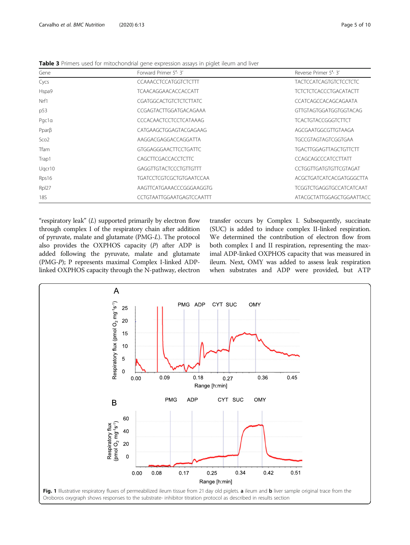<span id="page-4-0"></span>

| Table 3 Primers used for mitochondrial gene expression assays in piglet ileum and liver |  |  |  |
|-----------------------------------------------------------------------------------------|--|--|--|
|-----------------------------------------------------------------------------------------|--|--|--|

| Gene             | Forward Primer 5'-3'            | Reverse Primer 5'-3'            |  |
|------------------|---------------------------------|---------------------------------|--|
| Cycs             | <b>CCAAACCTCCATGGTCTCTTT</b>    | <b>TACTCCATCAGTGTCTCCTCTC</b>   |  |
| Hspa9            | <b>TCAACAGGAACACCACCATT</b>     | <b>TCTCTCTCACCCTGACATACTT</b>   |  |
| Nrf1             | <b>CGATGGCACTGTCTCTCTTATC</b>   | CCATCAGCCACAGCAGAATA            |  |
| p53              | CCGAGTACTTGGATGACAGAAA          | GTTGTAGTGGATGGTGGTACAG          |  |
| Pacla            | <b>CCCACAACTCCTCCTCATAAAG</b>   | <b>TCACTGTACCGGGTCTTCT</b>      |  |
| $Ppar\beta$      | CATGAAGCTGGAGTACGAGAAG          | AGCGAATGGCGTTGTAAGA             |  |
| Sco <sub>2</sub> | AAGGACGAGGACCAGGATTA            | <b>TGCCGTAGTAGTCGGTGAA</b>      |  |
| <b>Tfam</b>      | <b>GTGGAGGGAACTTCCTGATTC</b>    | <b>TGACTTGGAGTTAGCTGTTCTT</b>   |  |
| Trap1            | CAGCTTCGACCACCTCTTC             | CCAGCAGCCCATCCTTATT             |  |
| Ugcr10           | GAGGITGTACTCCCTGTTGTTT          | CCTGGTTGATGTGTTCGTAGAT          |  |
| Rps16            | <b>TGATCCTCGTCGCTGTGAATCCAA</b> | ACGCTGATCATCACGATGGGCTTA        |  |
| Rpl27            | AAGTTCATGAAACCCGGGAAGGTG        | <b>TCGGTCTGAGGTGCCATCATCAAT</b> |  |
| 18S              | CCTGTAATTGGAATGAGTCCAATTT       | ATACGCTATTGGAGCTGGAATTACC       |  |

"respiratory leak"  $(L)$  supported primarily by electron flow through complex I of the respiratory chain after addition of pyruvate, malate and glutamate (PMG-L). The protocol also provides the OXPHOS capacity  $(P)$  after ADP is added following the pyruvate, malate and glutamate (PMG-P); P represents maximal Complex I-linked ADPlinked OXPHOS capacity through the N-pathway, electron transfer occurs by Complex I. Subsequently, succinate (SUC) is added to induce complex II-linked respiration. We determined the contribution of electron flow from both complex I and II respiration, representing the maximal ADP-linked OXPHOS capacity that was measured in ileum. Next, OMY was added to assess leak respiration when substrates and ADP were provided, but ATP

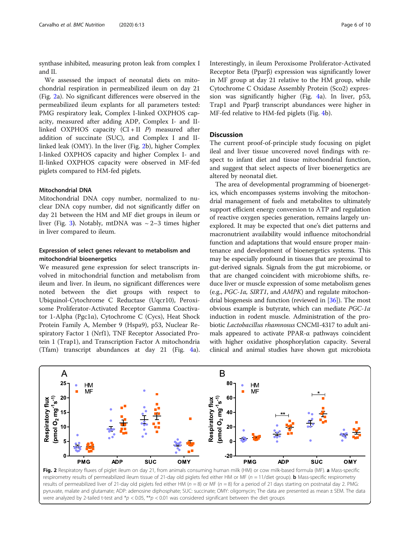synthase inhibited, measuring proton leak from complex I and II.

We assessed the impact of neonatal diets on mitochondrial respiration in permeabilized ileum on day 21 (Fig. 2a). No significant differences were observed in the permeabilized ileum explants for all parameters tested: PMG respiratory leak, Complex I-linked OXPHOS capacity, measured after adding ADP, Complex I- and IIlinked OXPHOS capacity  $(CI + II P)$  measured after addition of succinate (SUC), and Complex I and IIlinked leak (OMY). In the liver (Fig. 2b), higher Complex I-linked OXPHOS capacity and higher Complex I- and II-linked OXPHOS capacity were observed in MF-fed piglets compared to HM-fed piglets.

#### Mitochondrial DNA

Mitochondrial DNA copy number, normalized to nuclear DNA copy number, did not significantly differ on day 21 between the HM and MF diet groups in ileum or liver (Fig. [3](#page-6-0)). Notably, mtDNA was  $\sim$  2–3 times higher in liver compared to ileum.

## Expression of select genes relevant to metabolism and mitochondrial bioenergetics

We measured gene expression for select transcripts involved in mitochondrial function and metabolism from ileum and liver. In ileum, no significant differences were noted between the diet groups with respect to Ubiquinol-Cytochrome C Reductase (Uqcr10), Peroxisome Proliferator-Activated Receptor Gamma Coactivator 1-Alpha (Pgc1α), Cytochrome C (Cycs), Heat Shock Protein Family A, Member 9 (Hspa9), p53, Nuclear Respiratory Factor 1 (Nrf1), TNF Receptor Associated Protein 1 (Trap1), and Transcription Factor A mitochondria (Tfam) transcript abundances at day 21 (Fig. [4a](#page-6-0)).

Interestingly, in ileum Peroxisome Proliferator-Activated Receptor Beta (Pparβ) expression was significantly lower in MF group at day 21 relative to the HM group, while Cytochrome C Oxidase Assembly Protein (Sco2) expression was significantly higher (Fig. [4a](#page-6-0)). In liver, p53, Trap1 and Pparβ transcript abundances were higher in MF-fed relative to HM-fed piglets (Fig. [4](#page-6-0)b).

## **Discussion**

The current proof-of-principle study focusing on piglet ileal and liver tissue uncovered novel findings with respect to infant diet and tissue mitochondrial function, and suggest that select aspects of liver bioenergetics are altered by neonatal diet.

The area of developmental programming of bioenergetics, which encompasses systems involving the mitochondrial management of fuels and metabolites to ultimately support efficient energy conversion to ATP and regulation of reactive oxygen species generation, remains largely unexplored. It may be expected that one's diet patterns and macronutrient availability would influence mitochondrial function and adaptations that would ensure proper maintenance and development of bioenergetics systems. This may be especially profound in tissues that are proximal to gut-derived signals. Signals from the gut microbiome, or that are changed coincident with microbiome shifts, reduce liver or muscle expression of some metabolism genes (e.g.,  $PGC-1\alpha$ , SIRT1, and AMPK) and regulate mitochondrial biogenesis and function (reviewed in [[36](#page-8-0)]). The most obvious example is butyrate, which can mediate PGC-1α induction in rodent muscle. Administration of the probiotic Lactobacillus rhamnosus CNCMI-4317 to adult animals appeared to activate PPAR-α pathways coincident with higher oxidative phosphorylation capacity. Several clinical and animal studies have shown gut microbiota



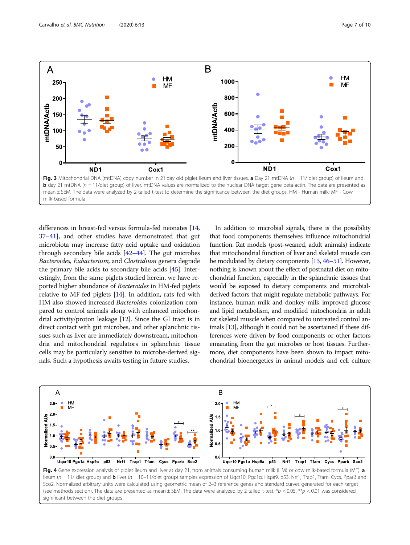<span id="page-6-0"></span>

differences in breast-fed versus formula-fed neonates [[14](#page-8-0), [37](#page-8-0)–[41\]](#page-8-0), and other studies have demonstrated that gut microbiota may increase fatty acid uptake and oxidation through secondary bile acids [\[42](#page-8-0)–[44\]](#page-8-0). The gut microbes Bacteroides, Eubacterium, and Clostridium genera degrade the primary bile acids to secondary bile acids [\[45\]](#page-8-0). Interestingly, from the same piglets studied herein, we have reported higher abundance of Bacteroides in HM-fed piglets relative to MF-fed piglets [\[14\]](#page-8-0). In addition, rats fed with HM also showed increased Bacteroides colonization compared to control animals along with enhanced mitochondrial activity/proton leakage [\[12\]](#page-8-0). Since the GI tract is in direct contact with gut microbes, and other splanchnic tissues such as liver are immediately downstream, mitochondria and mitochondrial regulators in splanchnic tissue cells may be particularly sensitive to microbe-derived signals. Such a hypothesis awaits testing in future studies.

In addition to microbial signals, there is the possibility that food components themselves influence mitochondrial function. Rat models (post-weaned, adult animals) indicate that mitochondrial function of liver and skeletal muscle can be modulated by dietary components [\[13,](#page-8-0) [46](#page-8-0)–[51\]](#page-9-0). However, nothing is known about the effect of postnatal diet on mitochondrial function, especially in the splanchnic tissues that would be exposed to dietary components and microbialderived factors that might regulate metabolic pathways. For instance, human milk and donkey milk improved glucose and lipid metabolism, and modified mitochondria in adult rat skeletal muscle when compared to untreated control animals [\[13\]](#page-8-0), although it could not be ascertained if these differences were driven by food components or other factors emanating from the gut microbes or host tissues. Furthermore, diet components have been shown to impact mitochondrial bioenergetics in animal models and cell culture



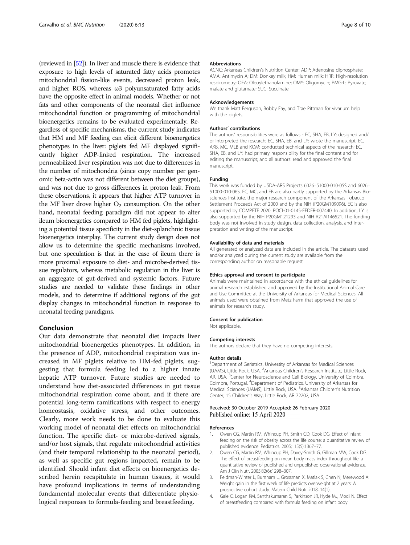<span id="page-7-0"></span>(reviewed in [\[52](#page-9-0)]). In liver and muscle there is evidence that exposure to high levels of saturated fatty acids promotes mitochondrial fission-like events, decreased proton leak, and higher ROS, whereas  $\omega$ 3 polyunsaturated fatty acids have the opposite effect in animal models. Whether or not fats and other components of the neonatal diet influence mitochondrial function or programming of mitochondrial bioenergetics remains to be evaluated experimentally. Regardless of specific mechanisms, the current study indicates that HM and MF feeding can elicit different bioenergetics phenotypes in the liver: piglets fed MF displayed significantly higher ADP-linked respiration. The increased permeabilized liver respiration was not due to differences in the number of mitochondria (since copy number per genomic beta-actin was not different between the diet groups), and was not due to gross differences in proton leak. From these observations, it appears that higher ATP turnover in the MF liver drove higher  $O_2$  consumption. On the other hand, neonatal feeding paradigm did not appear to alter ileum bioenergetics compared to HM fed piglets, highlighting a potential tissue specificity in the diet-splanchnic tissue bioenergetics interplay. The current study design does not allow us to determine the specific mechanisms involved, but one speculation is that in the case of ileum there is more proximal exposure to diet- and microbe-derived tissue regulators, whereas metabolic regulation in the liver is an aggregate of gut-derived and systemic factors. Future studies are needed to validate these findings in other models, and to determine if additional regions of the gut display changes in mitochondrial function in response to neonatal feeding paradigms.

## Conclusion

Our data demonstrate that neonatal diet impacts liver mitochondrial bioenergetics phenotypes. In addition, in the presence of ADP, mitochondrial respiration was increased in MF piglets relative to HM-fed piglets, suggesting that formula feeding led to a higher innate hepatic ATP turnover. Future studies are needed to understand how diet-associated differences in gut tissue mitochondrial respiration come about, and if there are potential long-term ramifications with respect to energy homeostasis, oxidative stress, and other outcomes. Clearly, more work needs to be done to evaluate this working model of neonatal diet effects on mitochondrial function. The specific diet- or microbe-derived signals, and/or host signals, that regulate mitochondrial activities (and their temporal relationship to the neonatal period), as well as specific gut regions impacted, remain to be identified. Should infant diet effects on bioenergetics described herein recapitulate in human tissues, it would have profound implications in terms of understanding fundamental molecular events that differentiate physiological responses to formula-feeding and breastfeeding.

#### Abbreviations

ACNC: Arkansas Children's Nutrition Center; ADP: Adenosine diphosphate; AMA: Antimycin A; DM: Donkey milk; HM: Human milk; HRR: High-resolution respirometry; OEA: Oleoylethanolamine; OMY: Oligomycin; PMG-L: Pyruvate, malate and glutamate; SUC: Succinate

#### Acknowledgements

We thank Matt Ferguson, Bobby Fay, and Trae Pittman for vivarium help with the piglets.

#### Authors' contributions

The authors' responsibilities were as follows - EC, SHA, EB, LY: designed and/ or interpreted the research; EC, SHA, EB, and LY: wrote the manuscript; EC, AKB, MC, MLB and KOM: conducted technical aspects of the research; EC, SHA, EB, and LY: had primary responsibility for the final content and for editing the manuscript; and all authors: read and approved the final manuscript.

#### Funding

This work was funded by USDA-ARS Projects 6026–51000-010-05S and 6026– 51000-010-06S. EC, MC, and EB are also partly supported by the Arkansas Biosciences Institute, the major research component of the Arkansas Tobacco Settlement Proceeds Act of 2000 and by the NIH (P20GM109096). EC is also supported by COMPETE 2020: POCI-01-0145-FEDER-007440. In addition, LY is also supported by the NIH P20GM121293 and NIH R21AI146521. The funding body was not involved in study design, data collection, analysis, and interpretation and writing of the manuscript.

#### Availability of data and materials

All generated or analyzed data are included in the article. The datasets used and/or analyzed during the current study are available from the corresponding author on reasonable request.

#### Ethics approval and consent to participate

Animals were maintained in accordance with the ethical guidelines for animal research established and approved by the Institutional Animal Care and Use Committee at the University of Arkansas for Medical Sciences. All animals used were obtained from Metz Farm that approved the use of animals for research study.

#### Consent for publication

#### Not applicable.

#### Competing interests

The authors declare that they have no competing interests.

#### Author details

<sup>1</sup>Department of Geriatrics, University of Arkansas for Medical Sciences (UAMS), Little Rock, USA. <sup>2</sup>Arkansas Children's Research Institute, Little Rock, AR, USA. <sup>3</sup> Center for Neuroscience and Cell Biology, University of Coimbra, Coimbra, Portugal. <sup>4</sup> Department of Pediatrics, University of Arkansas for Medical Sciences (UAMS), Little Rock, USA. <sup>5</sup>Arkansas Children's Nutrition Center, 15 Children's Way, Little Rock, AR 72202, USA.

#### Received: 30 October 2019 Accepted: 26 February 2020 Published online: 15 April 2020

#### References

- Owen CG, Martin RM, Whincup PH, Smith GD, Cook DG. Effect of infant feeding on the risk of obesity across the life course: a quantitative review of published evidence. Pediatrics. 2005;115(5):1367–77.
- 2. Owen CG, Martin RM, Whincup PH, Davey-Smith G, Gillman MW, Cook DG. The effect of breastfeeding on mean body mass index throughout life: a quantitative review of published and unpublished observational evidence. Am J Clin Nutr. 2005;82(6):1298–307.
- 3. Feldman-Winter L, Burnham L, Grossman X, Matlak S, Chen N, Merewood A: Weight gain in the first week of life predicts overweight at 2 years: A prospective cohort study. Matern Child Nutr 2018, 14(1)..
- 4. Gale C, Logan KM, Santhakumaran S, Parkinson JR, Hyde MJ, Modi N. Effect of breastfeeding compared with formula feeding on infant body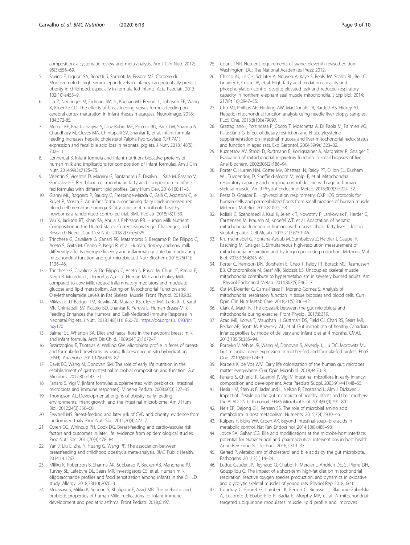<span id="page-8-0"></span>composition: a systematic review and meta-analysis. Am J Clin Nutr. 2012; 95(3):656–69.

- 5. Savino F, Liguori SA, Benetti S, Sorrenti M, Fissore MF. Cordero di Montezemolo L: high serum leptin levels in infancy can potentially predict obesity in childhood, especially in formula-fed infants. Acta Paediatr. 2013; 102(10):e455–9.
- Liu Z, Neuringer M, Erdman JW, Jr., Kuchan MJ, Renner L, Johnson EE, Wang X, Kroenke CD: The effects of breastfeeding versus formula-feeding on cerebral cortex maturation in infant rhesus macaques. Neuroimage. 2018; 184:372-85.
- 7. Mercer KE, Bhattacharyya S, Diaz-Rubio ME, Piccolo BD, Pack LM, Sharma N, Chaudhury M, Cleves MA, Chintapalli SV, Shankar K, et al. Infant formula feeding increases hepatic cholesterol 7alpha hydroxylase (CYP7A1) expression and fecal bile acid loss in neonatal piglets. J Nutr. 2018;148(5): 702–11.
- Lonnerdal B. Infant formula and infant nutrition: bioactive proteins of human milk and implications for composition of infant formulas. Am J Clin Nutr. 2014;99(3):712S–7S.
- 9. Visentin S, Vicentin D, Magrini G, Santandreu F, Disalvo L, Sala M, Fasano V, Gonzalez HF. Red blood cell membrane fatty acid composition in infants fed formulas with different lipid profiles. Early Hum Dev. 2016;100:11–5.
- 10. Gianni ML, Roggero P, Baudry C, Fressange-Mazda C, Galli C, Agostoni C, le Ruyet P, Mosca F. An infant formula containing dairy lipids increased red blood cell membrane omega 3 fatty acids in 4 month-old healthy newborns: a randomized controlled trial. BMC Pediatr. 2018;18(1):53.
- 11. Wu X, Jackson RT, Khan SA, Ahuja J, Pehrsson PR. Human Milk Nutrient Composition in the United States: Current Knowledge, Challenges, and Research Needs. Curr Dev Nutr. 2018;2(7):nzy025.
- 12. Trinchese G, Cavaliere G, Canani RB, Matamoros S, Bergamo P, De Filippo C, Aceto S, Gaita M, Cerino P, Negri R, et al. Human, donkey and cow milk differently affects energy efficiency and inflammatory state by modulating mitochondrial function and gut microbiota. J Nutr Biochem. 2015;26(11): 1136–46.
- 13. Trinchese G, Cavaliere G, De Filippo C, Aceto S, Prisco M, Chun JT, Penna E, Negri R, Muredda L, Demurtas A, et al. Human Milk and donkey Milk, compared to cow Milk, reduce inflammatory mediators and modulate glucose and lipid metabolism, Acting on Mitochondrial Function and Oleylethanolamide Levels in Rat Skeletal Muscle. Front Physiol. 2018;9:32.
- 14. Miklavcic JJ, Badger TM, Bowlin AK, Matazel KS, Cleves MA, LeRoith T, Saraf MK, Chintapalli SV, Piccolo BD, Shankar K, Yeruva L. Human Breast-Milk Feeding Enhances the Humoral and Cell-Mediated Immune Response in Neonatal Piglets. J Nutr. 2018;148(11):1860-70. [https://doi.org/10.1093/jn/](https://doi.org/10.1093/jn/nxy170) [nxy170.](https://doi.org/10.1093/jn/nxy170)
- 15. Balmer SE, Wharton BA. Diet and faecal flora in the newborn: breast milk and infant formula. Arch Dis Child. 1989;64(12):1672–7.
- 16. Bezirtzoglou E, Tsiotsias A, Welling GW. Microbiota profile in feces of breastand formula-fed newborns by using fluorescence in situ hybridization (FISH). Anaerobe. 2011;17(6):478–82.
- 17. Davis EC, Wang M, Donovan SM. The role of early life nutrition in the establishment of gastrointestinal microbial composition and function. Gut Microbes. 2017;8(2):143–71.
- 18. Fanaro S. Vigi V: [infant formulas supplemented with prebiotics: intestinal microbiota and immune responses]. Minerva Pediatr. 2008;60(3):327–35.
- 19. Thompson AL. Developmental origins of obesity: early feeding environments, infant growth, and the intestinal microbiome. Am J Hum Biol. 2012;24(3):350–60.
- 20. Fewtrell MS. Breast-feeding and later risk of CVD and obesity: evidence from randomised trials. Proc Nutr Soc. 2011;70(4):472–7.
- 21. Owen CG, Whincup PH, Cook DG. Breast-feeding and cardiovascular risk factors and outcomes in later life: evidence from epidemiological studies. Proc Nutr Soc. 2011;70(4):478–84.
- 22. Yan J, Liu L, Zhu Y, Huang G, Wang PP. The association between breastfeeding and childhood obesity: a meta-analysis. BMC Public Health. 2014;14:1267.
- 23. Miliku K, Robertson B, Sharma AK, Subbarao P, Becker AB, Mandhane PJ, Turvey SE, Lefebvre DL, Sears MR, Investigators CS, et al. Human milk oligosaccharide profiles and food sensitization among infants in the CHILD study. Allergy. 2018;73(10):2070–3.
- 24. Moossavi S, Miliku K, Sepehri S, Khafipour E, Azad MB. The prebiotic and probiotic properties of human Milk: implications for infant immune development and pediatric asthma. Front Pediatr. 2018;6:197.
- 25. Council NR. Nutrient requirements of swine: eleventh revised edition. Washington, DC: The National Academies Press; 2012.
- 26. Chicco AJ, Le CH, Schlater A, Nguyen A, Kaye S, Beals JW, Scalzo RL, Bell C, Gnaiger E, Costa DP, et al. High fatty acid oxidation capacity and phosphorylation control despite elevated leak and reduced respiratory capacity in northern elephant seal muscle mitochondria. J Exp Biol. 2014; 217(Pt 16):2947–55.
- 27. Chu MJ, Phillips AR, Hosking AW, MacDonald JR, Bartlett AS, Hickey AJ. Hepatic mitochondrial function analysis using needle liver biopsy samples. PLoS One. 2013;8(10):e79097.
- 28. Grattagliano I, Portincasa P, Cocco T, Moschetta A, Di Paola M, Palmieri VO, Palasciano G. Effect of dietary restriction and N-acetylcysteine supplementation on intestinal mucosa and liver mitochondrial redox status and function in aged rats. Exp Gerontol. 2004;39(9):1323–32.
- 29. Kuznetsov AV, Strobl D, Ruttmann E, Konigsrainer A, Margreiter R, Gnaiger E. Evaluation of mitochondrial respiratory function in small biopsies of liver. Anal Biochem. 2002;305(2):186–94.
- 30. Porter C, Hurren NM, Cotter MV, Bhattarai N, Reidy PT, Dillon EL, Durham WJ, Tuvdendorj D, Sheffield-Moore M, Volpi E, et al. Mitochondrial respiratory capacity and coupling control decline with age in human skeletal muscle. Am J Physiol Endocrinol Metab. 2015;309(3):E224–32.
- 31. Pesta D, Gnaiger E. High-resolution respirometry: OXPHOS protocols for human cells and permeabilized fibers from small biopsies of human muscle. Methods Mol Biol. 2012;810:25–58.
- 32. Koliaki C, Szendroedi J, Kaul K, Jelenik T, Nowotny P, Jankowiak F, Herder C, Carstensen M, Krausch M, Knoefel WT, et al. Adaptation of hepatic mitochondrial function in humans with non-alcoholic fatty liver is lost in steatohepatitis. Cell Metab. 2015;21(5):739–46.
- 33. Krumschnabel G, Fontana-Ayoub M, Sumbalova Z, Heidler J, Gauper K, Fasching M, Gnaiger E. Simultaneous high-resolution measurement of mitochondrial respiration and hydrogen peroxide production. Methods Mol Biol. 2015;1264:245–61.
- 34. Porter C, Herndon DN, Borsheim E, Chao T, Reidy PT, Borack MS, Rasmussen BB, Chondronikola M, Saraf MK, Sidossis LS. Uncoupled skeletal muscle mitochondria contribute to hypermetabolism in severely burned adults. Am J Physiol Endocrinol Metab. 2014;307(5):E462–7.
- 35. Ost M, Doerrier C, Gama-Perez P, Moreno-Gomez S. Analysis of mitochondrial respiratory function in tissue biopsies and blood cells. Curr Opin Clin Nutr Metab Care. 2018;21(5):336–42.
- 36. Clark A, Mach N. The crosstalk between the gut microbiota and mitochondria during exercise. Front Physiol. 2017;8:319.
- 37. Azad MB, Konya T, Maughan H, Guttman DS, Field CJ, Chari RS, Sears MR, Becker AB, Scott JA, Kozyrskyj AL, et al. Gut microbiota of healthy Canadian infants: profiles by mode of delivery and infant diet at 4 months. CMAJ. 2013;185(5):385–94.
- 38. Poroyko V, White JR, Wang M, Donovan S, Alverdy J, Liu DC, Morowitz MJ. Gut microbial gene expression in mother-fed and formula-fed piglets. PLoS One. 2010;5(8):e12459.
- 39. Korpela K, de Vos WM. Early life colonization of the human gut: microbes matter everywhere. Curr Opin Microbiol. 2018;44:70–8.
- 40. Fanaro S, Chierici R, Guerrini P, Vigi V. Intestinal microflora in early infancy: composition and development. Acta Paediatr Suppl. 2003;91(441):48–55.
- 41. Hesla HM, Stenius F, Jaderlund L, Nelson R, Engstrand L, Alm J, Dicksved J. Impact of lifestyle on the gut microbiota of healthy infants and their mothersthe ALADDIN birth cohort. FEMS Microbiol Ecol. 2014;90(3):791–801.
- 42. Neis EP, Dejong CH, Rensen SS. The role of microbial amino acid metabolism in host metabolism. Nutrients. 2015;7(4):2930–46.
- 43. Kuipers F, Bloks VW, Groen AK. Beyond intestinal soap--bile acids in metabolic control. Nat Rev Endocrinol. 2014;10(8):488–98.
- 44. Joyce SA, Gahan CG. Bile acid modifications at the microbe-host Interface: potential for Nutraceutical and pharmaceutical interventions in host health. Annu Rev Food Sci Technol. 2016;7:313–33.
- 45. Gerard P. Metabolism of cholesterol and bile acids by the gut microbiota. Pathogens. 2013;3(1):14–24.
- 46. Leduc-Gaudet JP, Reynaud O, Chabot F, Mercier J, Andrich DE, St-Pierre DH, Gouspillou G: The impact of a short-term high-fat diet on mitochondrial respiration, reactive oxygen species production, and dynamics in oxidative and glycolytic skeletal muscles of young rats. Physiol Rep 2018, 6(4)..
- 47. Coudray C, Fouret G, Lambert K, Ferreri C, Rieusset J, Blachnio-Zabielska A, Lecomte J, Ebabe Elle R, Badia E, Murphy MP, et al. A mitochondrialtargeted ubiquinone modulates muscle lipid profile and improves